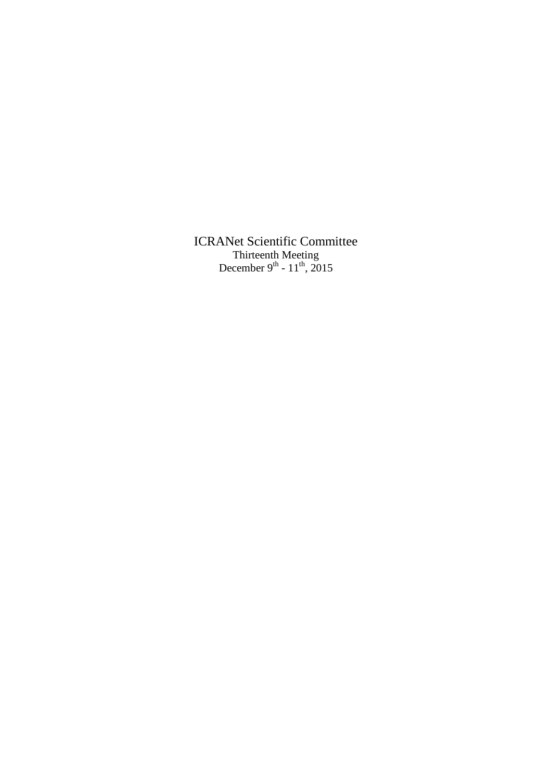ICRANet Scientific Committee Thirteenth Meeting December 9<sup>th</sup> -  $11^{th}$ , 2015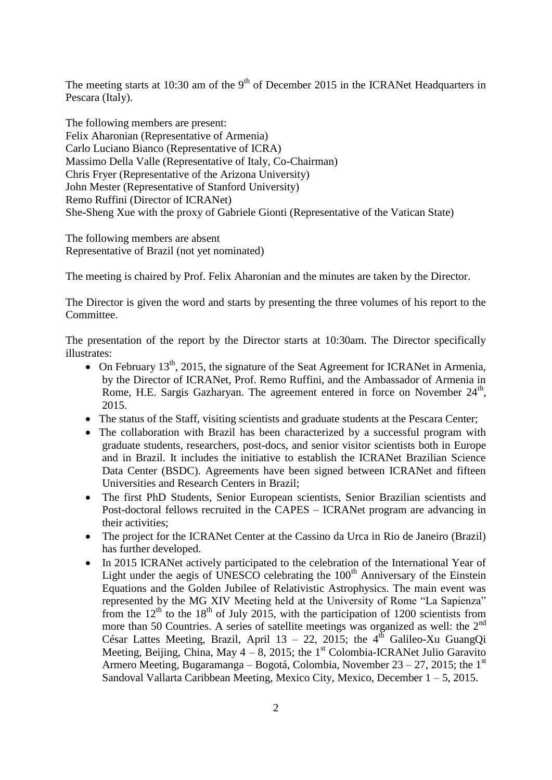The meeting starts at 10:30 am of the 9<sup>th</sup> of December 2015 in the ICRANet Headquarters in Pescara (Italy).

The following members are present: Felix Aharonian (Representative of Armenia) Carlo Luciano Bianco (Representative of ICRA) Massimo Della Valle (Representative of Italy, Co-Chairman) Chris Fryer (Representative of the Arizona University) John Mester (Representative of Stanford University) Remo Ruffini (Director of ICRANet) She-Sheng Xue with the proxy of Gabriele Gionti (Representative of the Vatican State)

The following members are absent Representative of Brazil (not yet nominated)

The meeting is chaired by Prof. Felix Aharonian and the minutes are taken by the Director.

The Director is given the word and starts by presenting the three volumes of his report to the Committee.

The presentation of the report by the Director starts at 10:30am. The Director specifically illustrates:

- On February  $13<sup>th</sup>$ , 2015, the signature of the Seat Agreement for ICRANet in Armenia, by the Director of ICRANet, Prof. Remo Ruffini, and the Ambassador of Armenia in Rome, H.E. Sargis Gazharyan. The agreement entered in force on November 24<sup>th</sup>, 2015.
- The status of the Staff, visiting scientists and graduate students at the Pescara Center;
- The collaboration with Brazil has been characterized by a successful program with graduate students, researchers, post-docs, and senior visitor scientists both in Europe and in Brazil. It includes the initiative to establish the ICRANet Brazilian Science Data Center (BSDC). Agreements have been signed between ICRANet and fifteen Universities and Research Centers in Brazil;
- The first PhD Students, Senior European scientists, Senior Brazilian scientists and Post-doctoral fellows recruited in the CAPES – ICRANet program are advancing in their activities;
- The project for the ICRANet Center at the Cassino da Urca in Rio de Janeiro (Brazil) has further developed.
- In 2015 ICRANet actively participated to the celebration of the International Year of Light under the aegis of UNESCO celebrating the  $100<sup>th</sup>$  Anniversary of the Einstein Equations and the Golden Jubilee of Relativistic Astrophysics. The main event was represented by the MG XIV Meeting held at the University of Rome "La Sapienza" from the  $12<sup>th</sup>$  to the 18<sup>th</sup> of July 2015, with the participation of 1200 scientists from more than 50 Countries. A series of satellite meetings was organized as well: the 2<sup>nd</sup> César Lattes Meeting, Brazil, April 13 – 22, 2015; the  $4^{th}$  Galileo-Xu GuangOi Meeting, Beijing, China, May  $4 - 8$ , 2015; the 1<sup>st</sup> Colombia-ICRANet Julio Garavito Armero Meeting, Bugaramanga – Bogotá, Colombia, November  $23 - 27$ , 2015; the 1<sup>st</sup> Sandoval Vallarta Caribbean Meeting, Mexico City, Mexico, December  $1 - 5$ , 2015.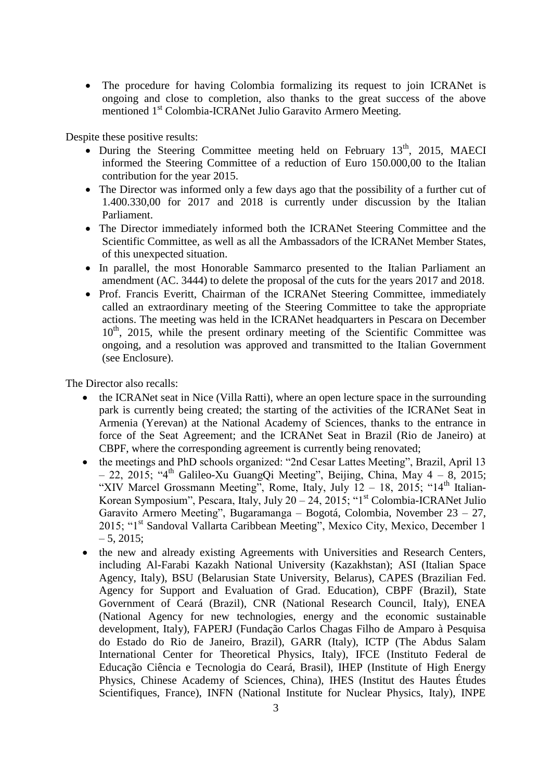The procedure for having Colombia formalizing its request to join ICRANet is ongoing and close to completion, also thanks to the great success of the above mentioned 1st Colombia-ICRANet Julio Garavito Armero Meeting.

Despite these positive results:

- During the Steering Committee meeting held on February  $13<sup>th</sup>$ , 2015, MAECI informed the Steering Committee of a reduction of Euro 150.000,00 to the Italian contribution for the year 2015.
- The Director was informed only a few days ago that the possibility of a further cut of 1.400.330,00 for 2017 and 2018 is currently under discussion by the Italian Parliament.
- The Director immediately informed both the ICRANet Steering Committee and the Scientific Committee, as well as all the Ambassadors of the ICRANet Member States, of this unexpected situation.
- In parallel, the most Honorable Sammarco presented to the Italian Parliament an amendment (AC. 3444) to delete the proposal of the cuts for the years 2017 and 2018.
- Prof. Francis Everitt, Chairman of the ICRANet Steering Committee, immediately called an extraordinary meeting of the Steering Committee to take the appropriate actions. The meeting was held in the ICRANet headquarters in Pescara on December  $10<sup>th</sup>$ , 2015, while the present ordinary meeting of the Scientific Committee was ongoing, and a resolution was approved and transmitted to the Italian Government (see Enclosure).

The Director also recalls:

- the ICRANet seat in Nice (Villa Ratti), where an open lecture space in the surrounding park is currently being created; the starting of the activities of the ICRANet Seat in Armenia (Yerevan) at the National Academy of Sciences, thanks to the entrance in force of the Seat Agreement; and the ICRANet Seat in Brazil (Rio de Janeiro) at CBPF, where the corresponding agreement is currently being renovated;
- the meetings and PhD schools organized: "2nd Cesar Lattes Meeting", Brazil, April 13  $-$  22, 2015; "4<sup>th</sup> Galileo-Xu GuangQi Meeting", Beijing, China, May 4 – 8, 2015; "XIV Marcel Grossmann Meeting", Rome, Italy, July  $12 - 18$ ,  $2015$ ; " $14<sup>th</sup>$  Italian-Korean Symposium", Pescara, Italy, July  $20 - 24$ ,  $2015$ ; "1<sup>st</sup> Colombia-ICRANet Julio Garavito Armero Meeting", Bugaramanga – Bogotá, Colombia, November 23 – 27, 2015; "1<sup>st</sup> Sandoval Vallarta Caribbean Meeting", Mexico City, Mexico, December 1  $-5, 2015;$
- the new and already existing Agreements with Universities and Research Centers, including Al-Farabi Kazakh National University (Kazakhstan); ASI (Italian Space Agency, Italy), BSU (Belarusian State University, Belarus), CAPES (Brazilian Fed. Agency for Support and Evaluation of Grad. Education), CBPF (Brazil), State Government of Ceará (Brazil), CNR (National Research Council, Italy), ENEA (National Agency for new technologies, energy and the economic sustainable development, Italy), FAPERJ (Fundação Carlos Chagas Filho de Amparo à Pesquisa do Estado do Rio de Janeiro, Brazil), GARR (Italy), ICTP (The Abdus Salam International Center for Theoretical Physics, Italy), IFCE (Instituto Federal de Educação Ciência e Tecnologia do Ceará, Brasil), IHEP (Institute of High Energy Physics, Chinese Academy of Sciences, China), IHES (Institut des Hautes Études Scientifiques, France), INFN (National Institute for Nuclear Physics, Italy), INPE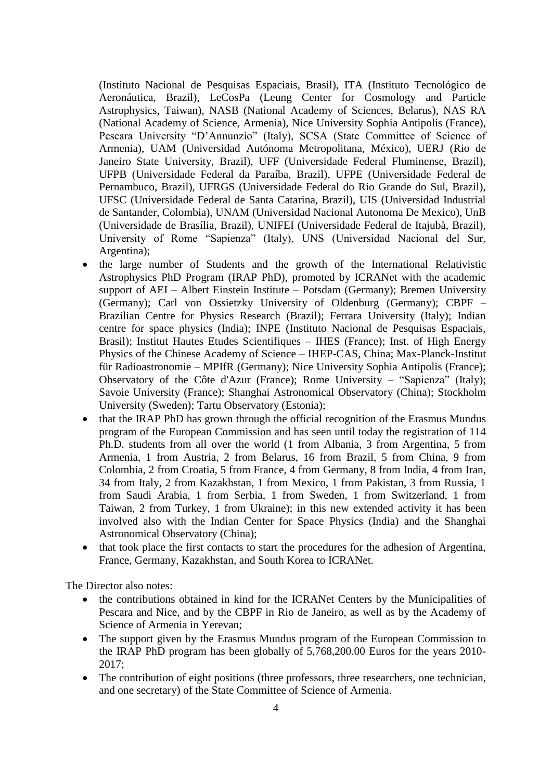(Instituto Nacional de Pesquisas Espaciais, Brasil), ITA (Instituto Tecnológico de Aeronáutica, Brazil), LeCosPa (Leung Center for Cosmology and Particle Astrophysics, Taiwan), NASB (National Academy of Sciences, Belarus), NAS RA (National Academy of Science, Armenia), Nice University Sophia Antipolis (France), Pescara University "D'Annunzio" (Italy), SCSA (State Committee of Science of Armenia), UAM (Universidad Autónoma Metropolitana, México), UERJ (Rio de Janeiro State University, Brazil), UFF (Universidade Federal Fluminense, Brazil), UFPB (Universidade Federal da Paraíba, Brazil), UFPE (Universidade Federal de Pernambuco, Brazil), UFRGS (Universidade Federal do Rio Grande do Sul, Brazil), UFSC (Universidade Federal de Santa Catarina, Brazil), UIS (Universidad Industrial de Santander, Colombia), UNAM (Universidad Nacional Autonoma De Mexico), UnB (Universidade de Brasília, Brazil), UNIFEI (Universidade Federal de Itajubà, Brazil), University of Rome "Sapienza" (Italy), UNS (Universidad Nacional del Sur, Argentina);

- the large number of Students and the growth of the International Relativistic Astrophysics PhD Program (IRAP PhD), promoted by ICRANet with the academic support of AEI – Albert Einstein Institute – Potsdam (Germany); Bremen University (Germany); Carl von Ossietzky University of Oldenburg (Germany); CBPF – Brazilian Centre for Physics Research (Brazil); Ferrara University (Italy); Indian centre for space physics (India); INPE (Instituto Nacional de Pesquisas Espaciais, Brasil); Institut Hautes Etudes Scientifiques – IHES (France); Inst. of High Energy Physics of the Chinese Academy of Science – IHEP-CAS, China; Max-Planck-Institut für Radioastronomie – MPIfR (Germany); Nice University Sophia Antipolis (France); Observatory of the Côte d'Azur (France); Rome University – "Sapienza" (Italy); Savoie University (France); Shanghai Astronomical Observatory (China); Stockholm University (Sweden); Tartu Observatory (Estonia);
- that the IRAP PhD has grown through the official recognition of the Erasmus Mundus program of the European Commission and has seen until today the registration of 114 Ph.D. students from all over the world (1 from Albania, 3 from Argentina, 5 from Armenia, 1 from Austria, 2 from Belarus, 16 from Brazil, 5 from China, 9 from Colombia, 2 from Croatia, 5 from France, 4 from Germany, 8 from India, 4 from Iran, 34 from Italy, 2 from Kazakhstan, 1 from Mexico, 1 from Pakistan, 3 from Russia, 1 from Saudi Arabia, 1 from Serbia, 1 from Sweden, 1 from Switzerland, 1 from Taiwan, 2 from Turkey, 1 from Ukraine); in this new extended activity it has been involved also with the Indian Center for Space Physics (India) and the Shanghai Astronomical Observatory (China);
- that took place the first contacts to start the procedures for the adhesion of Argentina, France, Germany, Kazakhstan, and South Korea to ICRANet.

The Director also notes:

- the contributions obtained in kind for the ICRANet Centers by the Municipalities of Pescara and Nice, and by the CBPF in Rio de Janeiro, as well as by the Academy of Science of Armenia in Yerevan;
- The support given by the Erasmus Mundus program of the European Commission to the IRAP PhD program has been globally of 5,768,200.00 Euros for the years 2010- 2017;
- The contribution of eight positions (three professors, three researchers, one technician, and one secretary) of the State Committee of Science of Armenia.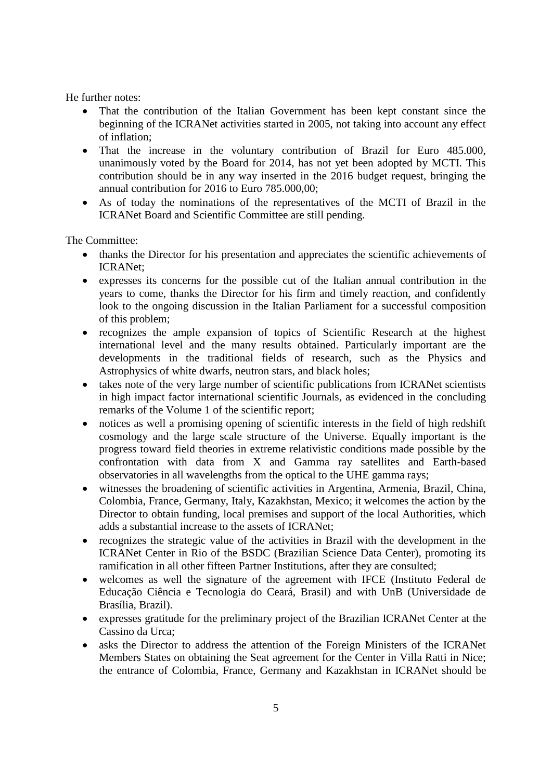He further notes:

- That the contribution of the Italian Government has been kept constant since the beginning of the ICRANet activities started in 2005, not taking into account any effect of inflation;
- That the increase in the voluntary contribution of Brazil for Euro 485.000, unanimously voted by the Board for 2014, has not yet been adopted by MCTI. This contribution should be in any way inserted in the 2016 budget request, bringing the annual contribution for 2016 to Euro 785.000,00;
- As of today the nominations of the representatives of the MCTI of Brazil in the ICRANet Board and Scientific Committee are still pending.

The Committee:

- thanks the Director for his presentation and appreciates the scientific achievements of ICRANet;
- expresses its concerns for the possible cut of the Italian annual contribution in the years to come, thanks the Director for his firm and timely reaction, and confidently look to the ongoing discussion in the Italian Parliament for a successful composition of this problem;
- recognizes the ample expansion of topics of Scientific Research at the highest international level and the many results obtained. Particularly important are the developments in the traditional fields of research, such as the Physics and Astrophysics of white dwarfs, neutron stars, and black holes;
- takes note of the very large number of scientific publications from ICRANet scientists in high impact factor international scientific Journals, as evidenced in the concluding remarks of the Volume 1 of the scientific report;
- notices as well a promising opening of scientific interests in the field of high redshift cosmology and the large scale structure of the Universe. Equally important is the progress toward field theories in extreme relativistic conditions made possible by the confrontation with data from X and Gamma ray satellites and Earth-based observatories in all wavelengths from the optical to the UHE gamma rays;
- witnesses the broadening of scientific activities in Argentina, Armenia, Brazil, China, Colombia, France, Germany, Italy, Kazakhstan, Mexico; it welcomes the action by the Director to obtain funding, local premises and support of the local Authorities, which adds a substantial increase to the assets of ICRANet;
- recognizes the strategic value of the activities in Brazil with the development in the ICRANet Center in Rio of the BSDC (Brazilian Science Data Center), promoting its ramification in all other fifteen Partner Institutions, after they are consulted;
- welcomes as well the signature of the agreement with IFCE (Instituto Federal de Educação Ciência e Tecnologia do Ceará, Brasil) and with UnB (Universidade de Brasília, Brazil).
- expresses gratitude for the preliminary project of the Brazilian ICRANet Center at the Cassino da Urca;
- asks the Director to address the attention of the Foreign Ministers of the ICRANet Members States on obtaining the Seat agreement for the Center in Villa Ratti in Nice; the entrance of Colombia, France, Germany and Kazakhstan in ICRANet should be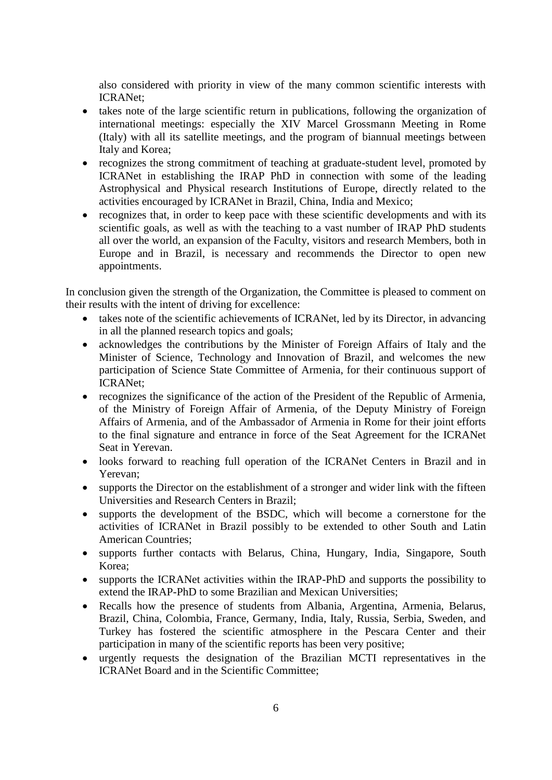also considered with priority in view of the many common scientific interests with ICRANet;

- takes note of the large scientific return in publications, following the organization of international meetings: especially the XIV Marcel Grossmann Meeting in Rome (Italy) with all its satellite meetings, and the program of biannual meetings between Italy and Korea;
- recognizes the strong commitment of teaching at graduate-student level, promoted by ICRANet in establishing the IRAP PhD in connection with some of the leading Astrophysical and Physical research Institutions of Europe, directly related to the activities encouraged by ICRANet in Brazil, China, India and Mexico;
- recognizes that, in order to keep pace with these scientific developments and with its scientific goals, as well as with the teaching to a vast number of IRAP PhD students all over the world, an expansion of the Faculty, visitors and research Members, both in Europe and in Brazil, is necessary and recommends the Director to open new appointments.

In conclusion given the strength of the Organization, the Committee is pleased to comment on their results with the intent of driving for excellence:

- takes note of the scientific achievements of ICRANet, led by its Director, in advancing in all the planned research topics and goals;
- acknowledges the contributions by the Minister of Foreign Affairs of Italy and the Minister of Science, Technology and Innovation of Brazil, and welcomes the new participation of Science State Committee of Armenia, for their continuous support of ICRANet;
- recognizes the significance of the action of the President of the Republic of Armenia, of the Ministry of Foreign Affair of Armenia, of the Deputy Ministry of Foreign Affairs of Armenia, and of the Ambassador of Armenia in Rome for their joint efforts to the final signature and entrance in force of the Seat Agreement for the ICRANet Seat in Yerevan.
- looks forward to reaching full operation of the ICRANet Centers in Brazil and in Yerevan;
- supports the Director on the establishment of a stronger and wider link with the fifteen Universities and Research Centers in Brazil;
- supports the development of the BSDC, which will become a cornerstone for the activities of ICRANet in Brazil possibly to be extended to other South and Latin American Countries;
- supports further contacts with Belarus, China, Hungary, India, Singapore, South Korea;
- supports the ICRANet activities within the IRAP-PhD and supports the possibility to extend the IRAP-PhD to some Brazilian and Mexican Universities;
- Recalls how the presence of students from Albania, Argentina, Armenia, Belarus, Brazil, China, Colombia, France, Germany, India, Italy, Russia, Serbia, Sweden, and Turkey has fostered the scientific atmosphere in the Pescara Center and their participation in many of the scientific reports has been very positive;
- urgently requests the designation of the Brazilian MCTI representatives in the ICRANet Board and in the Scientific Committee;